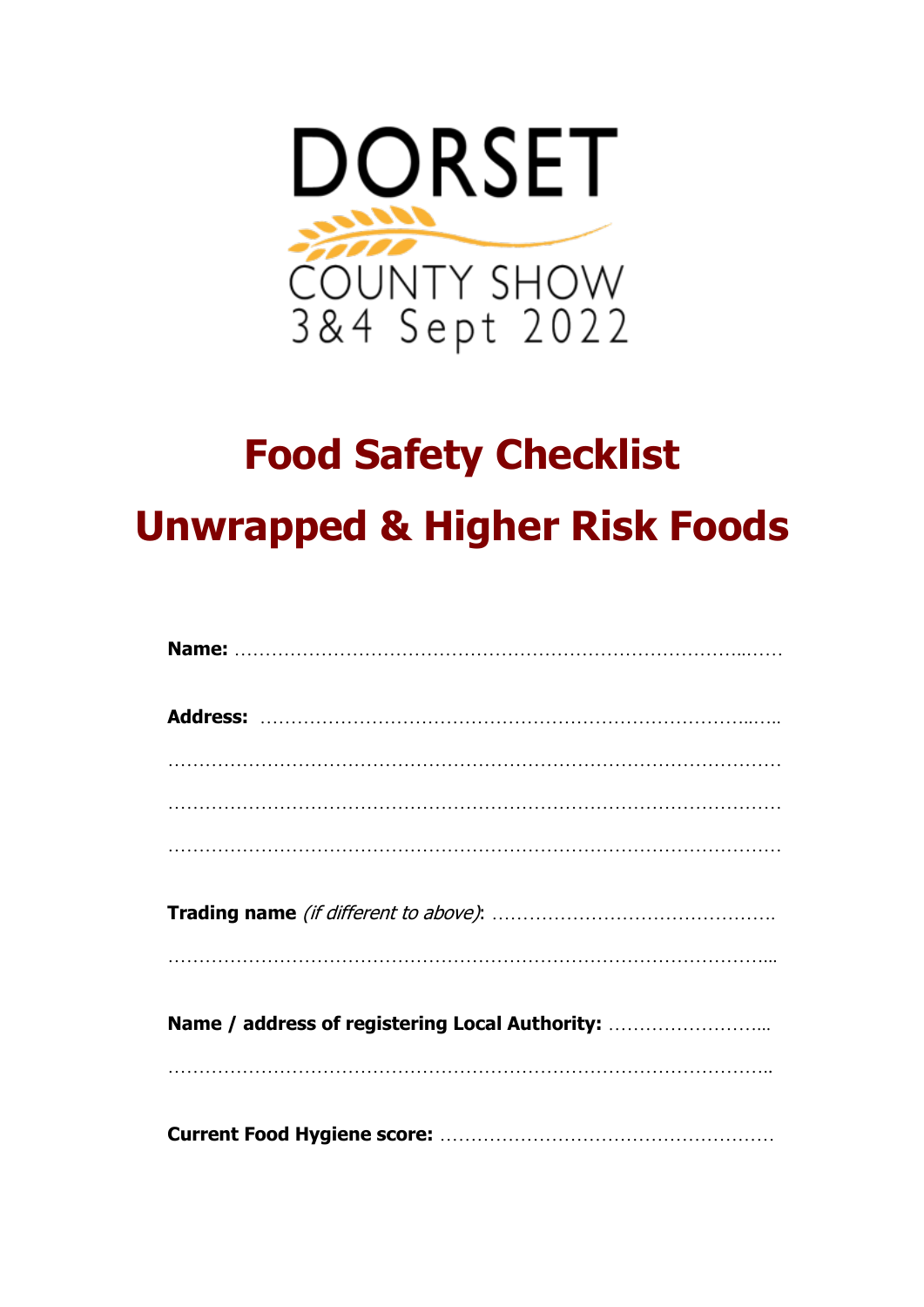

# **Food Safety Checklist Unwrapped & Higher Risk Foods**

| Name / address of registering Local Authority: |
|------------------------------------------------|
|                                                |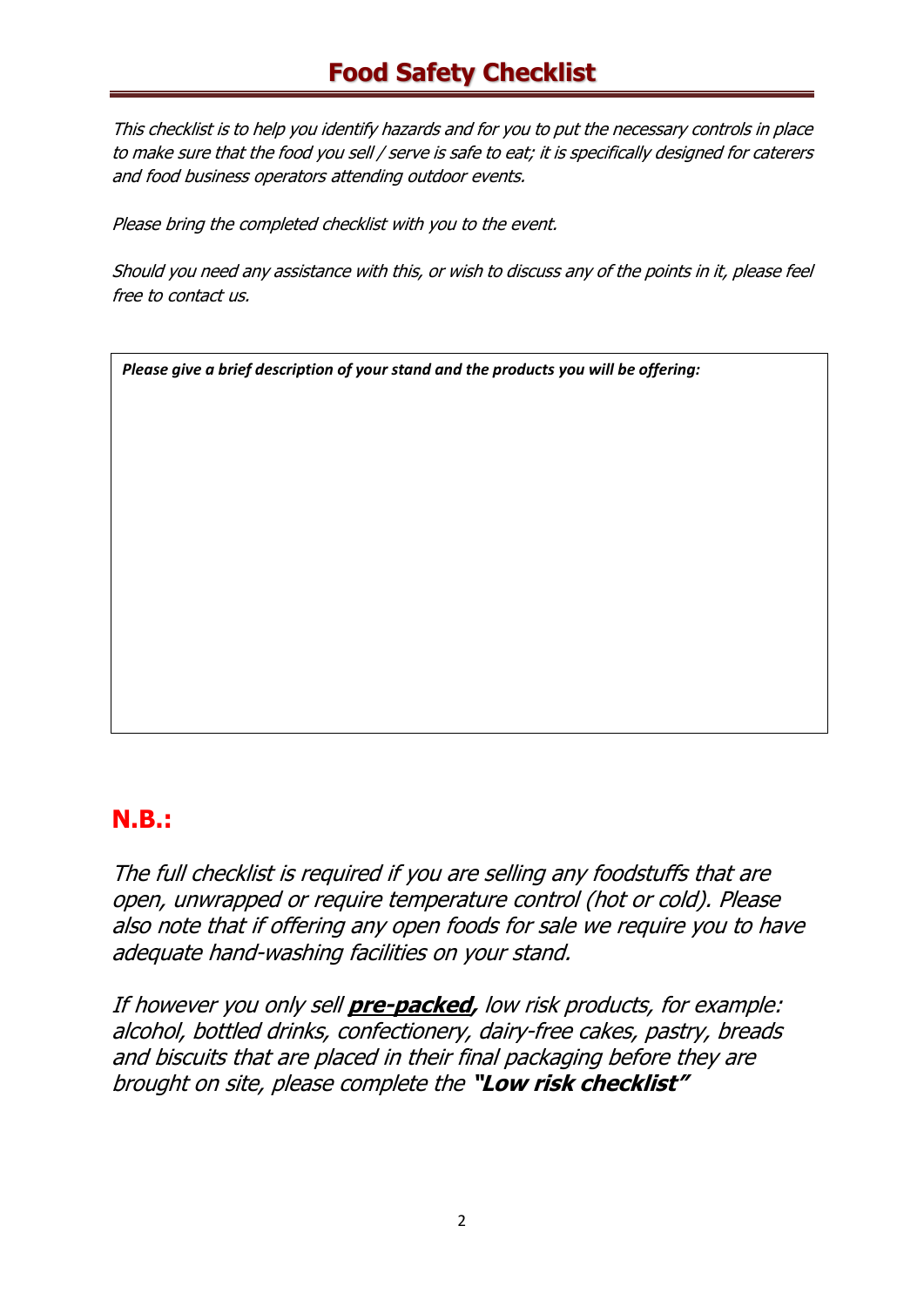### **Food Safety Checklist**

This checklist is to help you identify hazards and for you to put the necessary controls in place to make sure that the food you sell / serve is safe to eat; it is specifically designed for caterers and food business operators attending outdoor events.

Please bring the completed checklist with you to the event.

Should you need any assistance with this, or wish to discuss any of the points in it, please feel free to contact us.

*Please give a brief description of your stand and the products you will be offering:* 

#### **N.B.:**

The full checklist is required if you are selling any foodstuffs that are open, unwrapped or require temperature control (hot or cold). Please also note that if offering any open foods for sale we require you to have adequate hand-washing facilities on your stand.

If however you only sell **pre-packed,** low risk products, for example: alcohol, bottled drinks, confectionery, dairy-free cakes, pastry, breads and biscuits that are placed in their final packaging before they are brought on site, please complete the **"Low risk checklist"**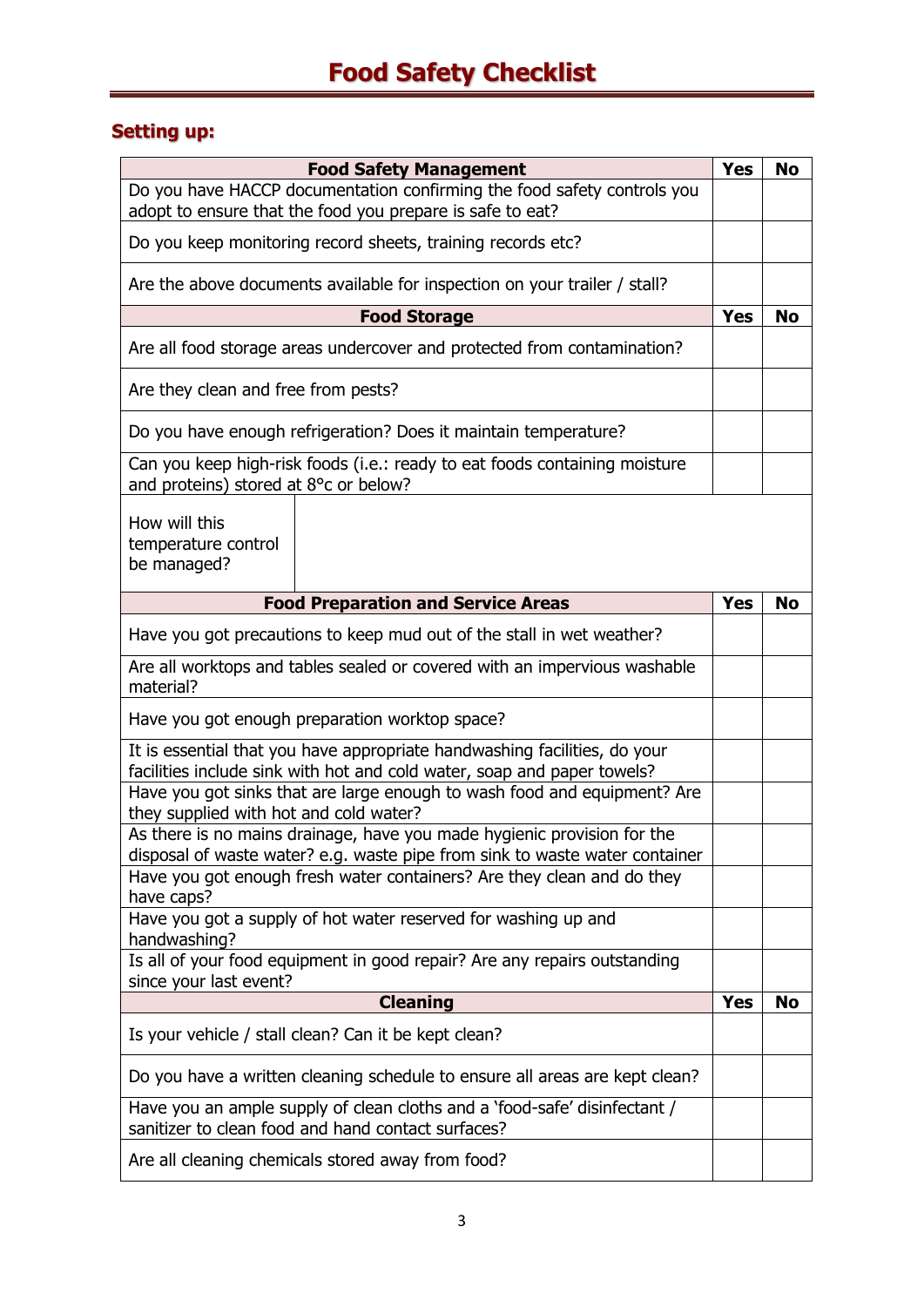#### **Setting up:**

| <b>Food Safety Management</b>                                                                                                                          |                                                                                                                                      |            | No        |
|--------------------------------------------------------------------------------------------------------------------------------------------------------|--------------------------------------------------------------------------------------------------------------------------------------|------------|-----------|
|                                                                                                                                                        | Do you have HACCP documentation confirming the food safety controls you<br>adopt to ensure that the food you prepare is safe to eat? |            |           |
|                                                                                                                                                        | Do you keep monitoring record sheets, training records etc?                                                                          |            |           |
|                                                                                                                                                        | Are the above documents available for inspection on your trailer / stall?                                                            |            |           |
|                                                                                                                                                        | <b>Food Storage</b>                                                                                                                  | <b>Yes</b> | <b>No</b> |
|                                                                                                                                                        | Are all food storage areas undercover and protected from contamination?                                                              |            |           |
| Are they clean and free from pests?                                                                                                                    |                                                                                                                                      |            |           |
|                                                                                                                                                        | Do you have enough refrigeration? Does it maintain temperature?                                                                      |            |           |
| and proteins) stored at 8°c or below?                                                                                                                  | Can you keep high-risk foods (i.e.: ready to eat foods containing moisture                                                           |            |           |
| How will this<br>temperature control<br>be managed?                                                                                                    |                                                                                                                                      |            |           |
|                                                                                                                                                        | <b>Food Preparation and Service Areas</b>                                                                                            | <b>Yes</b> | No        |
| Have you got precautions to keep mud out of the stall in wet weather?                                                                                  |                                                                                                                                      |            |           |
| Are all worktops and tables sealed or covered with an impervious washable<br>material?                                                                 |                                                                                                                                      |            |           |
| Have you got enough preparation worktop space?                                                                                                         |                                                                                                                                      |            |           |
| It is essential that you have appropriate handwashing facilities, do your<br>facilities include sink with hot and cold water, soap and paper towels?   |                                                                                                                                      |            |           |
| Have you got sinks that are large enough to wash food and equipment? Are<br>they supplied with hot and cold water?                                     |                                                                                                                                      |            |           |
| As there is no mains drainage, have you made hygienic provision for the<br>disposal of waste water? e.g. waste pipe from sink to waste water container |                                                                                                                                      |            |           |
| Have you got enough fresh water containers? Are they clean and do they<br>have caps?                                                                   |                                                                                                                                      |            |           |
| Have you got a supply of hot water reserved for washing up and<br>handwashing?                                                                         |                                                                                                                                      |            |           |
| Is all of your food equipment in good repair? Are any repairs outstanding<br>since your last event?                                                    |                                                                                                                                      |            |           |
|                                                                                                                                                        | <b>Cleaning</b>                                                                                                                      | Yes        | No        |
|                                                                                                                                                        | Is your vehicle / stall clean? Can it be kept clean?                                                                                 |            |           |
|                                                                                                                                                        | Do you have a written cleaning schedule to ensure all areas are kept clean?                                                          |            |           |
| Have you an ample supply of clean cloths and a 'food-safe' disinfectant /<br>sanitizer to clean food and hand contact surfaces?                        |                                                                                                                                      |            |           |
| Are all cleaning chemicals stored away from food?                                                                                                      |                                                                                                                                      |            |           |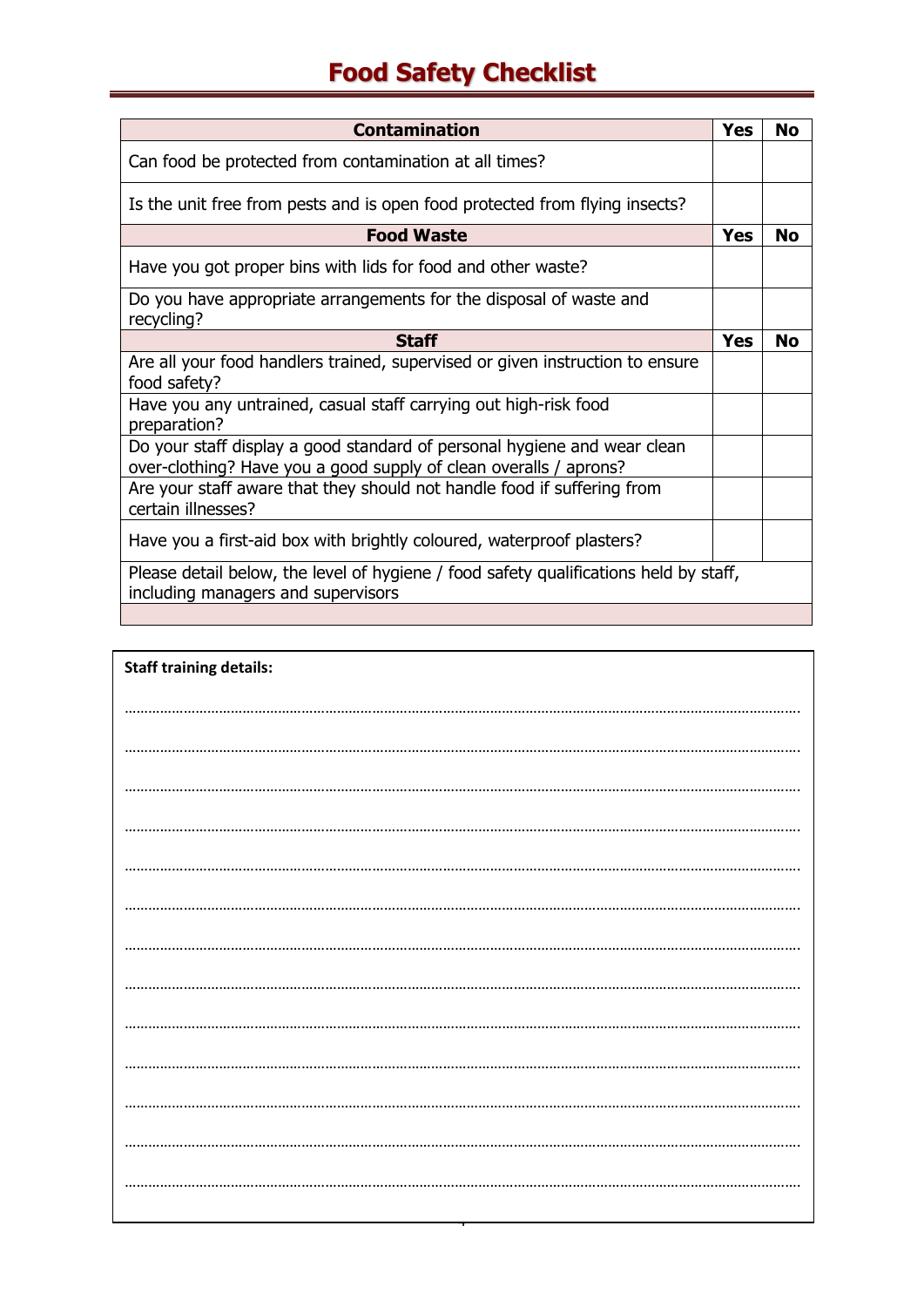## **Food Safety Checklist**

| <b>Contamination</b>                                                                                                                          | Yes        | Nο        |
|-----------------------------------------------------------------------------------------------------------------------------------------------|------------|-----------|
| Can food be protected from contamination at all times?                                                                                        |            |           |
| Is the unit free from pests and is open food protected from flying insects?                                                                   |            |           |
| <b>Food Waste</b>                                                                                                                             | <b>Yes</b> | <b>No</b> |
| Have you got proper bins with lids for food and other waste?                                                                                  |            |           |
| Do you have appropriate arrangements for the disposal of waste and<br>recycling?                                                              |            |           |
| <b>Staff</b>                                                                                                                                  | <b>Yes</b> | <b>No</b> |
| Are all your food handlers trained, supervised or given instruction to ensure<br>food safety?                                                 |            |           |
| Have you any untrained, casual staff carrying out high-risk food<br>preparation?                                                              |            |           |
| Do your staff display a good standard of personal hygiene and wear clean<br>over-clothing? Have you a good supply of clean overalls / aprons? |            |           |
| Are your staff aware that they should not handle food if suffering from<br>certain illnesses?                                                 |            |           |
| Have you a first-aid box with brightly coloured, waterproof plasters?                                                                         |            |           |
| Please detail below, the level of hygiene / food safety qualifications held by staff,<br>including managers and supervisors                   |            |           |
|                                                                                                                                               |            |           |

| <b>Staff training details:</b> |
|--------------------------------|
|                                |
|                                |
|                                |
|                                |
|                                |
|                                |
|                                |
|                                |
|                                |
|                                |
|                                |
|                                |
|                                |
|                                |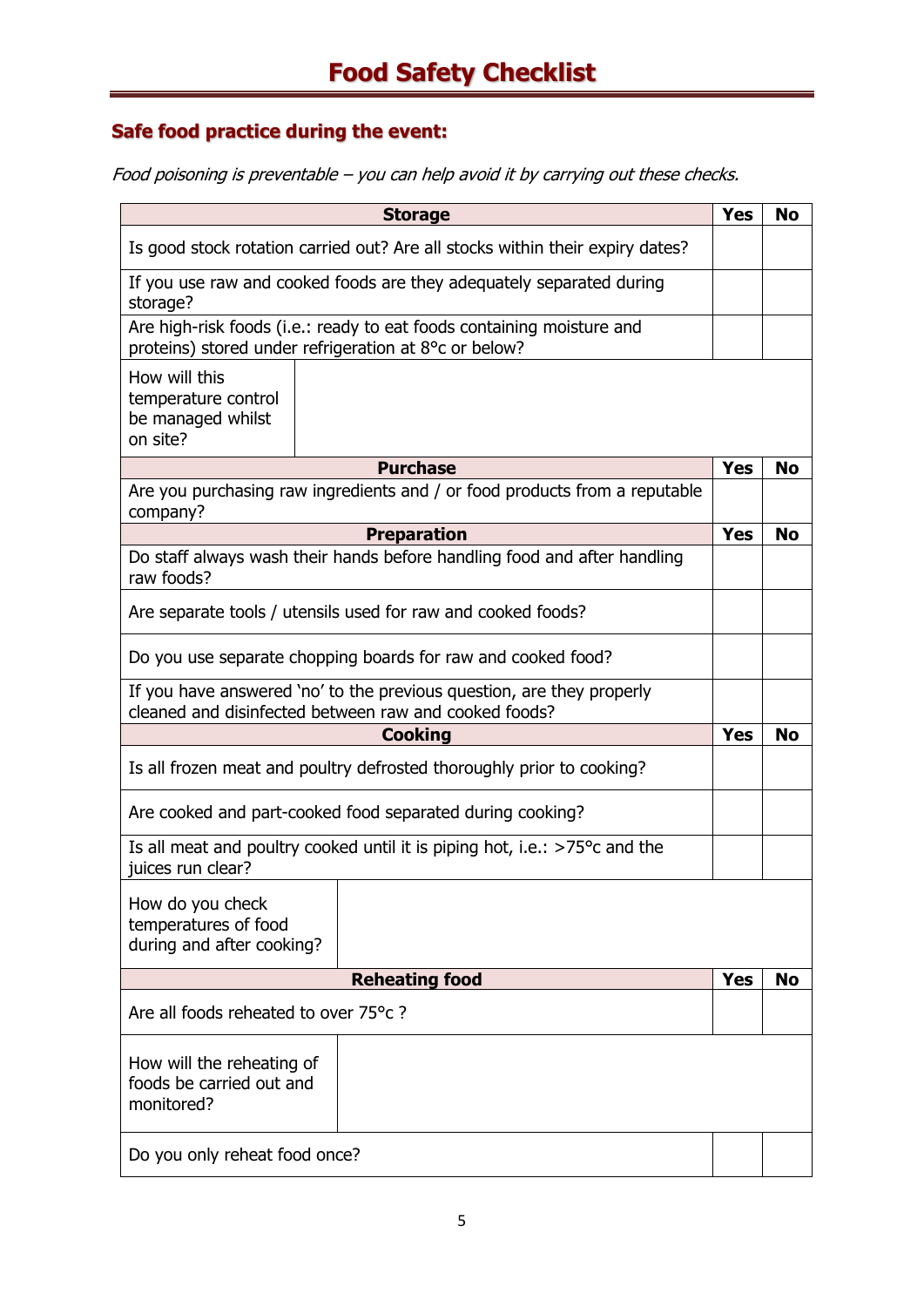#### **Safe food practice during the event:**

Food poisoning is preventable – you can help avoid it by carrying out these checks.

| <b>Storage</b>                                                                                                                 |                                                                                                                                |            | No        |
|--------------------------------------------------------------------------------------------------------------------------------|--------------------------------------------------------------------------------------------------------------------------------|------------|-----------|
| Is good stock rotation carried out? Are all stocks within their expiry dates?                                                  |                                                                                                                                |            |           |
| If you use raw and cooked foods are they adequately separated during<br>storage?                                               |                                                                                                                                |            |           |
|                                                                                                                                | Are high-risk foods (i.e.: ready to eat foods containing moisture and<br>proteins) stored under refrigeration at 8°c or below? |            |           |
| How will this<br>temperature control<br>be managed whilst<br>on site?                                                          |                                                                                                                                |            |           |
|                                                                                                                                | <b>Purchase</b>                                                                                                                | <b>Yes</b> | <b>No</b> |
| company?                                                                                                                       | Are you purchasing raw ingredients and / or food products from a reputable                                                     |            |           |
|                                                                                                                                | <b>Preparation</b>                                                                                                             | <b>Yes</b> | <b>No</b> |
| raw foods?                                                                                                                     | Do staff always wash their hands before handling food and after handling                                                       |            |           |
| Are separate tools / utensils used for raw and cooked foods?                                                                   |                                                                                                                                |            |           |
| Do you use separate chopping boards for raw and cooked food?                                                                   |                                                                                                                                |            |           |
| If you have answered 'no' to the previous question, are they properly<br>cleaned and disinfected between raw and cooked foods? |                                                                                                                                |            |           |
| <b>Cooking</b>                                                                                                                 |                                                                                                                                | <b>Yes</b> | <b>No</b> |
|                                                                                                                                | Is all frozen meat and poultry defrosted thoroughly prior to cooking?                                                          |            |           |
| Are cooked and part-cooked food separated during cooking?                                                                      |                                                                                                                                |            |           |
| Is all meat and poultry cooked until it is piping hot, i.e.: $>75^{\circ}$ c and the<br>juices run clear?                      |                                                                                                                                |            |           |
| How do you check<br>temperatures of food<br>during and after cooking?                                                          |                                                                                                                                |            |           |
|                                                                                                                                | <b>Reheating food</b>                                                                                                          | <b>Yes</b> | No        |
| Are all foods reheated to over 75°c?                                                                                           |                                                                                                                                |            |           |
| How will the reheating of<br>foods be carried out and<br>monitored?                                                            |                                                                                                                                |            |           |
| Do you only reheat food once?                                                                                                  |                                                                                                                                |            |           |